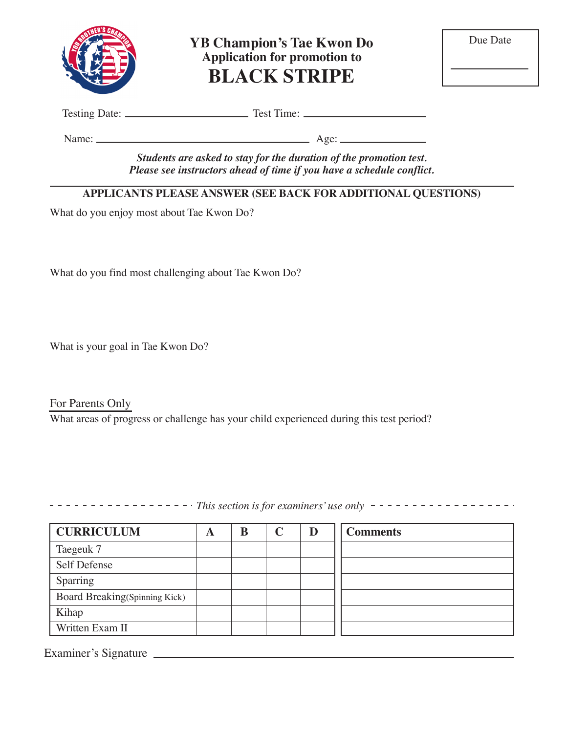

**YB Champion's Tae Kwon Do Application for promotion to BLACK STRIPE**

Testing Date: Test Time:

Name: Age:

*Students are asked to stay for the duration of the promotion test. Please see instructors ahead of time if you have a schedule conflict.*

### **APPLICANTS PLEASE ANSWER (SEE BACK FOR ADDITIONAL QUESTIONS)**

What do you enjoy most about Tae Kwon Do?

What do you find most challenging about Tae Kwon Do?

What is your goal in Tae Kwon Do?

For Parents Only What areas of progress or challenge has your child experienced during this test period?

*This section is for examiners' use only* 

| <b>CURRICULUM</b>             | A | B | D | <b>Comments</b> |
|-------------------------------|---|---|---|-----------------|
| Taegeuk 7                     |   |   |   |                 |
| Self Defense                  |   |   |   |                 |
| Sparring                      |   |   |   |                 |
| Board Breaking(Spinning Kick) |   |   |   |                 |
| Kihap                         |   |   |   |                 |
| Written Exam II               |   |   |   |                 |

Examiner's Signature